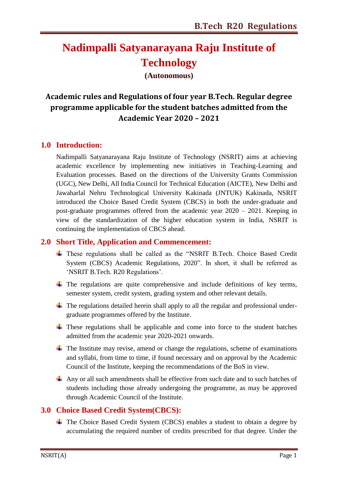## **Nadimpalli Satyanarayana Raju Institute of Technology**

**(Autonomous)**

### **Academic rules and Regulations of four year B.Tech. Regular degree programme applicable for the student batches admitted from the Academic Year 2020 – 2021**

#### **1.0 Introduction:**

Nadimpalli Satyanarayana Raju Institute of Technology (NSRIT) aims at achieving academic excellence by implementing new initiatives in Teaching-Learning and Evaluation processes. Based on the directions of the University Grants Commission (UGC), New Delhi, All India Council for Technical Education (AICTE), New Delhi and Jawaharlal Nehru Technological University Kakinada (JNTUK) Kakinada, NSRIT introduced the Choice Based Credit System (CBCS) in both the under-graduate and post-graduate programmes offered from the academic year 2020 – 2021. Keeping in view of the standardization of the higher education system in India, NSRIT is continuing the implementation of CBCS ahead.

#### **2.0 Short Title, Application and Commencement:**

- These regulations shall be called as the "NSRIT B.Tech. Choice Based Credit System (CBCS) Academic Regulations, 2020". In short, it shall be referred as "NSRIT B.Tech. R20 Regulations".
- $\ddot{+}$  The regulations are quite comprehensive and include definitions of key terms, semester system, credit system, grading system and other relevant details.
- $\ddot{\phantom{1}}$  The regulations detailed herein shall apply to all the regular and professional undergraduate programmes offered by the Institute.
- $\ddot{+}$  These regulations shall be applicable and come into force to the student batches admitted from the academic year 2020-2021 onwards.
- $\ddot{\phantom{1}}$  The Institute may revise, amend or change the regulations, scheme of examinations and syllabi, from time to time, if found necessary and on approval by the Academic Council of the Institute, keeping the recommendations of the BoS in view.
- $\overline{+}$  Any or all such amendments shall be effective from such date and to such batches of students including those already undergoing the programme, as may be approved through Academic Council of the Institute.

#### **3.0 Choice Based Credit System(CBCS):**

The Choice Based Credit System (CBCS) enables a student to obtain a degree by accumulating the required number of credits prescribed for that degree. Under the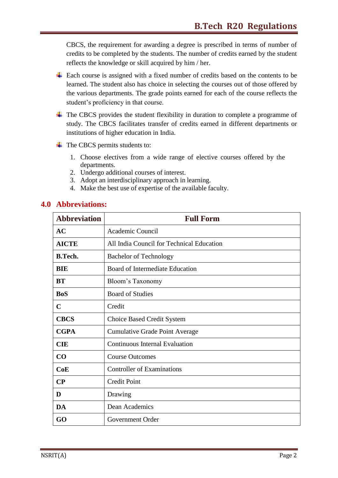CBCS, the requirement for awarding a degree is prescribed in terms of number of credits to be completed by the students. The number of credits earned by the student reflects the knowledge or skill acquired by him / her.

- Each course is assigned with a fixed number of credits based on the contents to be learned. The student also has choice in selecting the courses out of those offered by the various departments. The grade points earned for each of the course reflects the student"s proficiency in that course.
- $\pm$  The CBCS provides the student flexibility in duration to complete a programme of study. The CBCS facilitates transfer of credits earned in different departments or institutions of higher education in India.
- $\overline{\phantom{a}}$  The CBCS permits students to:
	- 1. Choose electives from a wide range of elective courses offered by the departments.
	- 2. Undergo additional courses of interest.
	- 3. Adopt an interdisciplinary approach in learning.
	- 4. Make the best use of expertise of the available faculty.

#### **4.0 Abbreviations:**

| <b>Abbreviation</b> | <b>Full Form</b>                          |
|---------------------|-------------------------------------------|
| AC                  | Academic Council                          |
| <b>AICTE</b>        | All India Council for Technical Education |
| <b>B.Tech.</b>      | <b>Bachelor of Technology</b>             |
| <b>BIE</b>          | <b>Board of Intermediate Education</b>    |
| <b>BT</b>           | Bloom's Taxonomy                          |
| <b>BoS</b>          | <b>Board of Studies</b>                   |
| $\mathbf C$         | Credit                                    |
| <b>CBCS</b>         | <b>Choice Based Credit System</b>         |
| <b>CGPA</b>         | <b>Cumulative Grade Point Average</b>     |
| <b>CIE</b>          | <b>Continuous Internal Evaluation</b>     |
| $\bf CO$            | <b>Course Outcomes</b>                    |
| CoE                 | <b>Controller of Examinations</b>         |
| $\bf CP$            | <b>Credit Point</b>                       |
| D                   | Drawing                                   |
| DA                  | Dean Academics                            |
| GO                  | Government Order                          |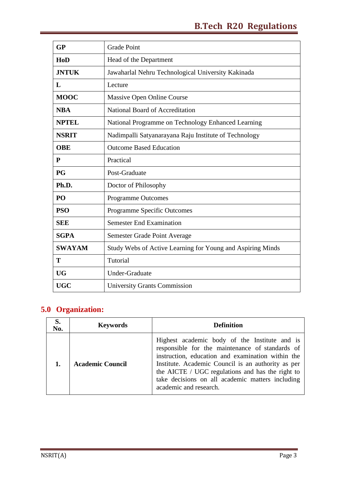| GP            | <b>Grade Point</b>                                         |
|---------------|------------------------------------------------------------|
| HoD           | Head of the Department                                     |
| <b>JNTUK</b>  | Jawaharlal Nehru Technological University Kakinada         |
| L             | Lecture                                                    |
| <b>MOOC</b>   | Massive Open Online Course                                 |
| <b>NBA</b>    | National Board of Accreditation                            |
| <b>NPTEL</b>  | National Programme on Technology Enhanced Learning         |
| <b>NSRIT</b>  | Nadimpalli Satyanarayana Raju Institute of Technology      |
| <b>OBE</b>    | <b>Outcome Based Education</b>                             |
| ${\bf P}$     | Practical                                                  |
| <b>PG</b>     | Post-Graduate                                              |
| Ph.D.         | Doctor of Philosophy                                       |
| PO            | <b>Programme Outcomes</b>                                  |
| <b>PSO</b>    | Programme Specific Outcomes                                |
| <b>SEE</b>    | <b>Semester End Examination</b>                            |
| <b>SGPA</b>   | Semester Grade Point Average                               |
| <b>SWAYAM</b> | Study Webs of Active Learning for Young and Aspiring Minds |
| T             | Tutorial                                                   |
| <b>UG</b>     | <b>Under-Graduate</b>                                      |
| <b>UGC</b>    | <b>University Grants Commission</b>                        |

## **5.0 Organization:**

| S.<br>No. | <b>Keywords</b>         | Definition                                                                                                                                                                                                                                                                                                                                    |  |  |
|-----------|-------------------------|-----------------------------------------------------------------------------------------------------------------------------------------------------------------------------------------------------------------------------------------------------------------------------------------------------------------------------------------------|--|--|
|           | <b>Academic Council</b> | Highest academic body of the Institute and is<br>responsible for the maintenance of standards of<br>instruction, education and examination within the<br>Institute. Academic Council is an authority as per<br>the AICTE / UGC regulations and has the right to<br>take decisions on all academic matters including<br>academic and research. |  |  |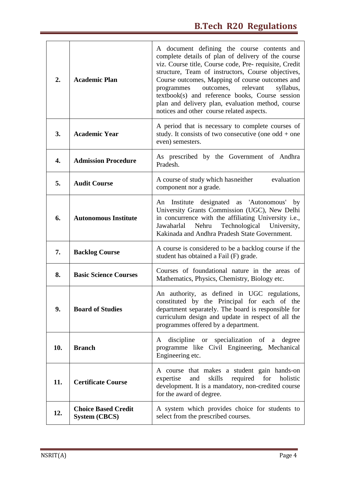| 2.  | <b>Academic Plan</b>                                                                               | A document defining the course contents and<br>complete details of plan of delivery of the course<br>viz. Course title, Course code, Pre- requisite, Credit<br>structure, Team of instructors, Course objectives,<br>Course outcomes, Mapping of course outcomes and<br>outcomes,<br>relevant<br>syllabus,<br>programmes<br>textbook(s) and reference books, Course session<br>plan and delivery plan, evaluation method, course<br>notices and other course related aspects. |
|-----|----------------------------------------------------------------------------------------------------|-------------------------------------------------------------------------------------------------------------------------------------------------------------------------------------------------------------------------------------------------------------------------------------------------------------------------------------------------------------------------------------------------------------------------------------------------------------------------------|
| 3.  | <b>Academic Year</b>                                                                               | A period that is necessary to complete courses of<br>study. It consists of two consecutive (one odd $+$ one<br>even) semesters.                                                                                                                                                                                                                                                                                                                                               |
| 4.  | <b>Admission Procedure</b>                                                                         | As prescribed by the Government of Andhra<br>Pradesh.                                                                                                                                                                                                                                                                                                                                                                                                                         |
| 5.  | A course of study which has neither<br>evaluation<br><b>Audit Course</b><br>component nor a grade. |                                                                                                                                                                                                                                                                                                                                                                                                                                                                               |
| 6.  | <b>Autonomous Institute</b>                                                                        | designated as 'Autonomous' by<br>Institute<br>An<br>University Grants Commission (UGC), New Delhi<br>in concurrence with the affiliating University i.e.,<br>Technological<br>Jawaharlal<br>Nehru<br>University,<br>Kakinada and Andhra Pradesh State Government.                                                                                                                                                                                                             |
| 7.  | <b>Backlog Course</b>                                                                              | A course is considered to be a backlog course if the<br>student has obtained a Fail (F) grade.                                                                                                                                                                                                                                                                                                                                                                                |
| 8.  | <b>Basic Science Courses</b>                                                                       | Courses of foundational nature in the areas of<br>Mathematics, Physics, Chemistry, Biology etc.                                                                                                                                                                                                                                                                                                                                                                               |
| 9.  | <b>Board of Studies</b>                                                                            | An authority, as defined in UGC regulations,<br>constituted by the Principal for each of the<br>department separately. The board is responsible for<br>curriculum design and update in respect of all the<br>programmes offered by a department.                                                                                                                                                                                                                              |
| 10. | <b>Branch</b>                                                                                      | discipline or specialization of a degree<br>A<br>programme like Civil Engineering, Mechanical<br>Engineering etc.                                                                                                                                                                                                                                                                                                                                                             |
| 11. | <b>Certificate Course</b>                                                                          | A course that makes a student gain hands-on<br>skills<br>required<br>for<br>holistic<br>expertise<br>and<br>development. It is a mandatory, non-credited course<br>for the award of degree.                                                                                                                                                                                                                                                                                   |
| 12. | <b>Choice Based Credit</b><br><b>System (CBCS)</b>                                                 | A system which provides choice for students to<br>select from the prescribed courses.                                                                                                                                                                                                                                                                                                                                                                                         |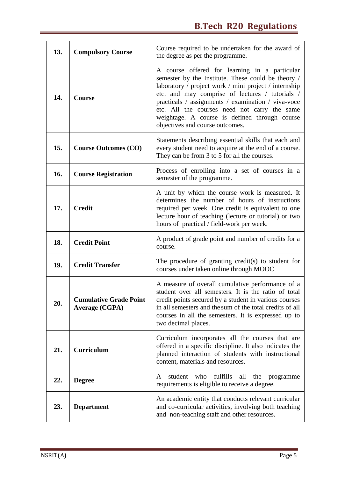| 13. | Course required to be undertaken for the award of<br><b>Compulsory Course</b><br>the degree as per the programme.                                                                            |                                                                                                                                                                                                                                                                                                                                                                                                           |
|-----|----------------------------------------------------------------------------------------------------------------------------------------------------------------------------------------------|-----------------------------------------------------------------------------------------------------------------------------------------------------------------------------------------------------------------------------------------------------------------------------------------------------------------------------------------------------------------------------------------------------------|
| 14. | <b>Course</b>                                                                                                                                                                                | A course offered for learning in a particular<br>semester by the Institute. These could be theory /<br>laboratory / project work / mini project / internship<br>etc. and may comprise of lectures / tutorials /<br>practicals / assignments / examination / viva-voce<br>etc. All the courses need not carry the same<br>weightage. A course is defined through course<br>objectives and course outcomes. |
| 15. | Statements describing essential skills that each and<br>every student need to acquire at the end of a course.<br><b>Course Outcomes (CO)</b><br>They can be from 3 to 5 for all the courses. |                                                                                                                                                                                                                                                                                                                                                                                                           |
| 16. | Process of enrolling into a set of courses in a<br><b>Course Registration</b><br>semester of the programme.                                                                                  |                                                                                                                                                                                                                                                                                                                                                                                                           |
| 17. | <b>Credit</b>                                                                                                                                                                                | A unit by which the course work is measured. It<br>determines the number of hours of instructions<br>required per week. One credit is equivalent to one<br>lecture hour of teaching (lecture or tutorial) or two<br>hours of practical / field-work per week.                                                                                                                                             |
| 18. | <b>Credit Point</b>                                                                                                                                                                          | A product of grade point and number of credits for a<br>course.                                                                                                                                                                                                                                                                                                                                           |
| 19. | <b>Credit Transfer</b>                                                                                                                                                                       | The procedure of granting credit(s) to student for<br>courses under taken online through MOOC                                                                                                                                                                                                                                                                                                             |
| 20. | <b>Cumulative Grade Point</b><br><b>Average (CGPA)</b>                                                                                                                                       | A measure of overall cumulative performance of a<br>student over all semesters. It is the ratio of total<br>credit points secured by a student in various courses<br>in all semesters and the sum of the total credits of all<br>courses in all the semesters. It is expressed up to<br>two decimal places.                                                                                               |
| 21. | <b>Curriculum</b>                                                                                                                                                                            | Curriculum incorporates all the courses that are<br>offered in a specific discipline. It also indicates the<br>planned interaction of students with instructional<br>content, materials and resources.                                                                                                                                                                                                    |
| 22. | <b>Degree</b>                                                                                                                                                                                | student who<br>fulfills<br>all<br>the<br>A<br>programme<br>requirements is eligible to receive a degree.                                                                                                                                                                                                                                                                                                  |
| 23. | <b>Department</b>                                                                                                                                                                            | An academic entity that conducts relevant curricular<br>and co-curricular activities, involving both teaching<br>and non-teaching staff and other resources.                                                                                                                                                                                                                                              |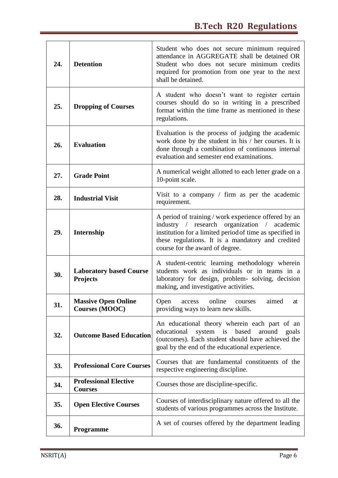| 24. | <b>Detention</b>                                                                                | Student who does not secure minimum required<br>attendance in AGGREGATE shall be detained OR<br>Student who does not secure minimum credits<br>required for promotion from one year to the next<br>shall be detained.                                   |
|-----|-------------------------------------------------------------------------------------------------|---------------------------------------------------------------------------------------------------------------------------------------------------------------------------------------------------------------------------------------------------------|
| 25. | <b>Dropping of Courses</b>                                                                      | A student who doesn't want to register certain<br>courses should do so in writing in a prescribed<br>format within the time frame as mentioned in these<br>regulations.                                                                                 |
| 26. | <b>Evaluation</b>                                                                               | Evaluation is the process of judging the academic<br>work done by the student in his / her courses. It is<br>done through a combination of continuous internal<br>evaluation and semester end examinations.                                             |
| 27. | <b>Grade Point</b>                                                                              | A numerical weight allotted to each letter grade on a<br>10-point scale.                                                                                                                                                                                |
| 28. | Visit to a company $\prime$ firm as per the academic<br><b>Industrial Visit</b><br>requirement. |                                                                                                                                                                                                                                                         |
| 29. | Internship                                                                                      | A period of training / work experience offered by an<br>industry / research organization / academic<br>institution for a limited period of time as specified in<br>these regulations. It is a mandatory and credited<br>course for the award of degree. |
| 30. | <b>Laboratory based Course</b><br><b>Projects</b>                                               | A student-centric learning methodology wherein<br>students work as individuals or in teams in a<br>laboratory for design, problem- solving, decision<br>making, and investigative activities.                                                           |
| 31. | <b>Massive Open Online</b><br><b>Courses (MOOC)</b>                                             | online<br>Open<br>aimed<br>access<br>courses<br>at<br>providing ways to learn new skills.                                                                                                                                                               |
| 32. | <b>Outcome Based Education</b>                                                                  | An educational theory wherein each part of an<br>system is<br>based<br>educational<br>around<br>goals<br>(outcomes). Each student should have achieved the<br>goal by the end of the educational experience.                                            |
| 33. | <b>Professional Core Courses</b>                                                                | Courses that are fundamental constituents of the<br>respective engineering discipline.                                                                                                                                                                  |
| 34. | <b>Professional Elective</b><br><b>Courses</b>                                                  | Courses those are discipline-specific.                                                                                                                                                                                                                  |
| 35. | <b>Open Elective Courses</b>                                                                    | Courses of interdisciplinary nature offered to all the<br>students of various programmes across the Institute.                                                                                                                                          |
| 36. | <b>Programme</b>                                                                                | A set of courses offered by the department leading                                                                                                                                                                                                      |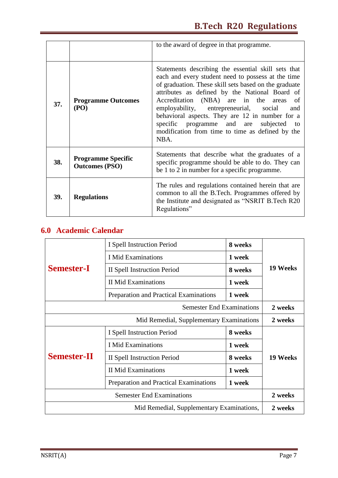|                                           |                                                                                                                                                                                                                                                                                                                                                                                                                                                                                                       | to the award of degree in that programme.                                                                                                                   |  |
|-------------------------------------------|-------------------------------------------------------------------------------------------------------------------------------------------------------------------------------------------------------------------------------------------------------------------------------------------------------------------------------------------------------------------------------------------------------------------------------------------------------------------------------------------------------|-------------------------------------------------------------------------------------------------------------------------------------------------------------|--|
| 37.                                       | Statements describing the essential skill sets that<br>each and every student need to possess at the time<br>of graduation. These skill sets based on the graduate<br>attributes as defined by the National Board of<br>Accreditation (NBA) are in the areas<br><b>Programme Outcomes</b><br>(PO)<br>employability, entrepreneurial, social<br>behavioral aspects. They are 12 in number for a<br>specific programme and are<br>subjected<br>modification from time to time as defined by the<br>NBA. |                                                                                                                                                             |  |
| 38.                                       | <b>Programme Specific</b><br><b>Outcomes (PSO)</b>                                                                                                                                                                                                                                                                                                                                                                                                                                                    | Statements that describe what the graduates of a<br>specific programme should be able to do. They can<br>be 1 to 2 in number for a specific programme.      |  |
| 39.<br><b>Regulations</b><br>Regulations" |                                                                                                                                                                                                                                                                                                                                                                                                                                                                                                       | The rules and regulations contained herein that are<br>common to all the B.Tech. Programmes offered by<br>the Institute and designated as "NSRIT B.Tech R20 |  |

## **6.0 Academic Calendar**

|                                           | I Spell Instruction Period             | 8 weeks |          |
|-------------------------------------------|----------------------------------------|---------|----------|
|                                           | <b>I</b> Mid Examinations              | 1 week  |          |
| <b>Semester-I</b>                         | II Spell Instruction Period            | 8 weeks | 19 Weeks |
|                                           | <b>II Mid Examinations</b>             | 1 week  |          |
|                                           | Preparation and Practical Examinations | 1 week  |          |
|                                           | <b>Semester End Examinations</b>       |         | 2 weeks  |
| Mid Remedial, Supplementary Examinations  |                                        |         | 2 weeks  |
|                                           | 8 weeks<br>I Spell Instruction Period  |         |          |
|                                           | <b>I</b> Mid Examinations              | 1 week  |          |
| <b>Semester-II</b>                        | II Spell Instruction Period            | 8 weeks | 19 Weeks |
|                                           | <b>II Mid Examinations</b><br>1 week   |         |          |
|                                           | Preparation and Practical Examinations | 1 week  |          |
| <b>Semester End Examinations</b>          |                                        | 2 weeks |          |
| Mid Remedial, Supplementary Examinations, |                                        | 2 weeks |          |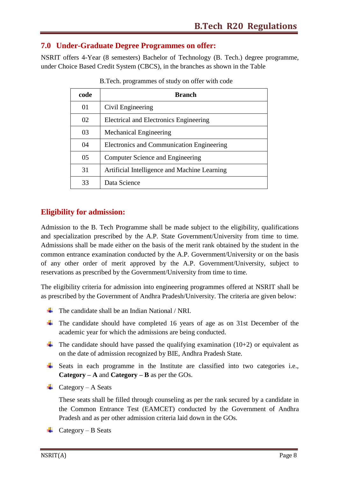#### **7.0 Under-Graduate Degree Programmes on offer:**

NSRIT offers 4-Year (8 semesters) Bachelor of Technology (B. Tech.) degree programme, under Choice Based Credit System (CBCS), in the branches as shown in the Table

| code | <b>Branch</b>                                |
|------|----------------------------------------------|
| 01   | Civil Engineering                            |
| 02   | Electrical and Electronics Engineering       |
| 03   | <b>Mechanical Engineering</b>                |
| 04   | Electronics and Communication Engineering    |
| 05   | Computer Science and Engineering             |
| 31   | Artificial Intelligence and Machine Learning |
| 33   | Data Science                                 |

B.Tech. programmes of study on offer with code

#### **Eligibility for admission:**

Admission to the B. Tech Programme shall be made subject to the eligibility, qualifications and specialization prescribed by the A.P. State Government/University from time to time. Admissions shall be made either on the basis of the merit rank obtained by the student in the common entrance examination conducted by the A.P. Government/University or on the basis of any other order of merit approved by the A.P. Government/University, subject to reservations as prescribed by the Government/University from time to time.

The eligibility criteria for admission into engineering programmes offered at NSRIT shall be as prescribed by the Government of Andhra Pradesh/University. The criteria are given below:

- $\downarrow$  The candidate shall be an Indian National / NRI.
- $\overline{\phantom{a}}$  The candidate should have completed 16 years of age as on 31st December of the academic year for which the admissions are being conducted.
- The candidate should have passed the qualifying examination  $(10+2)$  or equivalent as on the date of admission recognized by BIE, Andhra Pradesh State.
- ↓ Seats in each programme in the Institute are classified into two categories i.e., **Category – A** and **Category – B** as per the GOs.
- $\leftarrow$  Category A Seats

These seats shall be filled through counseling as per the rank secured by a candidate in the Common Entrance Test (EAMCET) conducted by the Government of Andhra Pradesh and as per other admission criteria laid down in the GOs.

 $\leftarrow$  Category – B Seats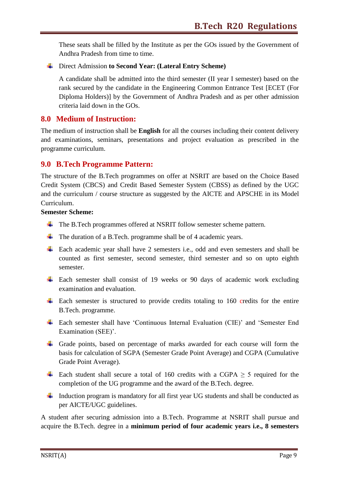These seats shall be filled by the Institute as per the GOs issued by the Government of Andhra Pradesh from time to time.

Direct Admission **to Second Year: (Lateral Entry Scheme)**

A candidate shall be admitted into the third semester (II year I semester) based on the rank secured by the candidate in the Engineering Common Entrance Test [ECET (For Diploma Holders)] by the Government of Andhra Pradesh and as per other admission criteria laid down in the GOs.

#### **8.0 Medium of Instruction:**

The medium of instruction shall be **English** for all the courses including their content delivery and examinations, seminars, presentations and project evaluation as prescribed in the programme curriculum.

#### **9.0 B.Tech Programme Pattern:**

The structure of the B.Tech programmes on offer at NSRIT are based on the Choice Based Credit System (CBCS) and Credit Based Semester System (CBSS) as defined by the UGC and the curriculum / course structure as suggested by the AICTE and APSCHE in its Model Curriculum.

#### **Semester Scheme:**

- The B.Tech programmes offered at NSRIT follow semester scheme pattern.
- The duration of a B.Tech. programme shall be of 4 academic years.
- Each academic year shall have 2 semesters i.e., odd and even semesters and shall be counted as first semester, second semester, third semester and so on upto eighth semester.
- $\overline{\phantom{a}}$  Each semester shall consist of 19 weeks or 90 days of academic work excluding examination and evaluation.
- $\pm$  Each semester is structured to provide credits totaling to 160 credits for the entire B.Tech. programme.
- Each semester shall have "Continuous Internal Evaluation (CIE)" and "Semester End Examination (SEE)'.
- $\overline{\phantom{a}}$  Grade points, based on percentage of marks awarded for each course will form the basis for calculation of SGPA (Semester Grade Point Average) and CGPA (Cumulative Grade Point Average).
- $\overline{\text{+}}$  Each student shall secure a total of 160 credits with a CGPA ≥ 5 required for the completion of the UG programme and the award of the B.Tech. degree.
- Induction program is mandatory for all first year UG students and shall be conducted as per AICTE/UGC guidelines.

A student after securing admission into a B.Tech. Programme at NSRIT shall pursue and acquire the B.Tech. degree in a **minimum period of four academic years i.e., 8 semesters**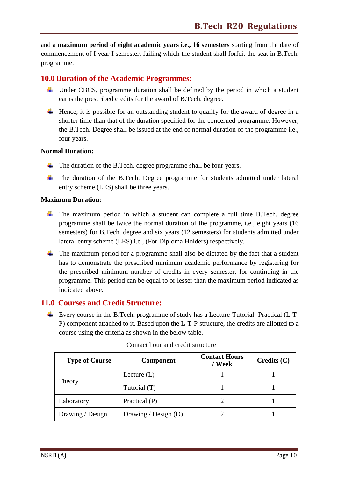and a **maximum period of eight academic years i.e., 16 semesters** starting from the date of commencement of I year I semester, failing which the student shall forfeit the seat in B.Tech. programme.

#### **10.0 Duration of the Academic Programmes:**

- $\overline{\text{L}}$  Under CBCS, programme duration shall be defined by the period in which a student earns the prescribed credits for the award of B.Tech. degree.
- $\ddot{\text{H}}$  Hence, it is possible for an outstanding student to qualify for the award of degree in a shorter time than that of the duration specified for the concerned programme. However, the B.Tech. Degree shall be issued at the end of normal duration of the programme i.e., four years.

#### **Normal Duration:**

- $\overline{\text{I}}$  The duration of the B.Tech. degree programme shall be four years.
- $\overline{\phantom{a}}$  The duration of the B.Tech. Degree programme for students admitted under lateral entry scheme (LES) shall be three years.

#### **Maximum Duration:**

- $\overline{\text{F}}$  The maximum period in which a student can complete a full time B.Tech. degree programme shall be twice the normal duration of the programme, i.e., eight years (16 semesters) for B.Tech. degree and six years (12 semesters) for students admitted under lateral entry scheme (LES) i.e., (For Diploma Holders) respectively.
- $\overline{\phantom{a}}$  The maximum period for a programme shall also be dictated by the fact that a student has to demonstrate the prescribed minimum academic performance by registering for the prescribed minimum number of credits in every semester, for continuing in the programme. This period can be equal to or lesser than the maximum period indicated as indicated above.

#### **11.0 Courses and Credit Structure:**

Every course in the B.Tech. programme of study has a Lecture-Tutorial- Practical (L-T-P) component attached to it. Based upon the L-T-P structure, the credits are allotted to a course using the criteria as shown in the below table.

| <b>Type of Course</b> | <b>Component</b>     | <b>Contact Hours</b><br>/ Week | $C$ redits $(C)$ |
|-----------------------|----------------------|--------------------------------|------------------|
|                       | Lecture $(L)$        |                                |                  |
| Theory                | Tutorial (T)         |                                |                  |
| Laboratory            | Practical $(P)$      |                                |                  |
| Drawing / Design      | Drawing / Design (D) |                                |                  |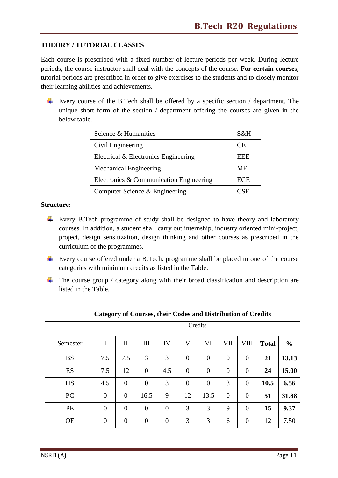#### **THEORY / TUTORIAL CLASSES**

Each course is prescribed with a fixed number of lecture periods per week. During lecture periods, the course instructor shall deal with the concepts of the course**. For certain courses,** tutorial periods are prescribed in order to give exercises to the students and to closely monitor their learning abilities and achievements.

Every course of the B.Tech shall be offered by a specific section / department. The unique short form of the section / department offering the courses are given in the below table.

| Science & Humanities                    | S&H        |
|-----------------------------------------|------------|
| Civil Engineering                       |            |
| Electrical & Electronics Engineering    |            |
| <b>Mechanical Engineering</b>           |            |
| Electronics & Communication Engineering | <b>ECE</b> |
| Computer Science & Engineering          |            |

#### **Structure:**

- Every B.Tech programme of study shall be designed to have theory and laboratory courses. In addition, a student shall carry out internship, industry oriented mini-project, project, design sensitization, design thinking and other courses as prescribed in the curriculum of the programmes.
- Every course offered under a B.Tech. programme shall be placed in one of the course categories with minimum credits as listed in the Table.
- $\overline{\phantom{a}}$  The course group / category along with their broad classification and description are listed in the Table.

|           |                  | Credits          |                    |                  |                  |                  |                |                |              |               |
|-----------|------------------|------------------|--------------------|------------------|------------------|------------------|----------------|----------------|--------------|---------------|
| Semester  | I                | $\mathbf{I}$     | $\mathop{\rm III}$ | IV               | $\mathbf V$      | VI               | VII            | VIII           | <b>Total</b> | $\frac{0}{0}$ |
| <b>BS</b> | 7.5              | 7.5              | 3                  | 3                | $\boldsymbol{0}$ | $\mathbf{0}$     | $\overline{0}$ | $\overline{0}$ | 21           | 13.13         |
| ES        | 7.5              | 12               | $\boldsymbol{0}$   | 4.5              | $\mathbf{0}$     | $\mathbf{0}$     | $\overline{0}$ | $\theta$       | 24           | 15.00         |
| HS        | 4.5              | $\mathbf{0}$     | $\mathbf{0}$       | 3                | $\boldsymbol{0}$ | $\boldsymbol{0}$ | 3              | $\overline{0}$ | 10.5         | 6.56          |
| <b>PC</b> | $\boldsymbol{0}$ | $\mathbf{0}$     | 16.5               | 9                | 12               | 13.5             | $\overline{0}$ | $\overline{0}$ | 51           | 31.88         |
| PE        | $\boldsymbol{0}$ | $\boldsymbol{0}$ | $\boldsymbol{0}$   | $\boldsymbol{0}$ | 3                | 3                | 9              | $\overline{0}$ | 15           | 9.37          |
| <b>OE</b> | $\boldsymbol{0}$ | $\mathbf{0}$     | $\mathbf{0}$       | $\mathbf{0}$     | 3                | 3                | 6              | $\overline{0}$ | 12           | 7.50          |

#### **Category of Courses, their Codes and Distribution of Credits**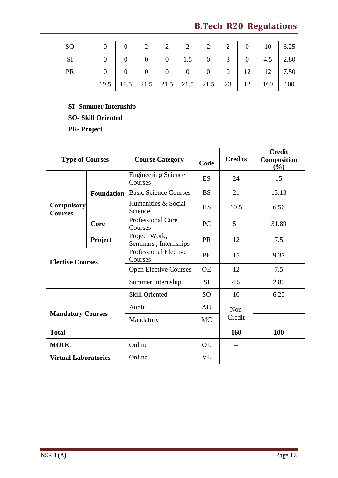| <sub>SO</sub> |  |  |  |  | $0$ 0 $2$ 2 $2$ 2 2 2 0 10 6.25                                 |  |
|---------------|--|--|--|--|-----------------------------------------------------------------|--|
|               |  |  |  |  |                                                                 |  |
| <b>PR</b>     |  |  |  |  |                                                                 |  |
|               |  |  |  |  | $19.5$   19.5   21.5   21.5   21.5   21.5   23   12   160   100 |  |

**SI- Summer Internship SO- Skill Oriented PR- Project**

| <b>Type of Courses</b>              |                   | <b>Course Category</b><br>Code                |                 | <b>Credits</b> | <b>Credit</b><br><b>Composition</b><br>$(\%)$ |
|-------------------------------------|-------------------|-----------------------------------------------|-----------------|----------------|-----------------------------------------------|
|                                     |                   | <b>Engineering Science</b><br>Courses         | ES              | 24             | 15                                            |
|                                     | <b>Foundation</b> | <b>Basic Science Courses</b>                  | <b>BS</b>       | 21             | 13.13                                         |
| <b>Compulsory</b><br><b>Courses</b> |                   | Humanities & Social<br>Science                |                 | 10.5           | 6.56                                          |
|                                     | Core              | <b>Professional Core</b><br>Courses           | PC              | 51             | 31.89                                         |
|                                     | Project           | Project Work,<br>Seminars, Internships        | PR              | 12             | 7.5                                           |
| <b>Elective Courses</b>             |                   | <b>Professional Elective</b><br>PE<br>Courses |                 | 15             | 9.37                                          |
|                                     |                   | <b>Open Elective Courses</b>                  | <b>OE</b>       | 12             | 7.5                                           |
|                                     |                   | Summer Internship                             | <b>SI</b>       | 4.5            | 2.80                                          |
|                                     |                   | <b>Skill Oriented</b>                         | SO <sub>1</sub> | 10             | 6.25                                          |
|                                     |                   | Audit                                         | AU              | Non-           |                                               |
| <b>Mandatory Courses</b>            |                   | Mandatory                                     | <b>MC</b>       | Credit         |                                               |
| <b>Total</b>                        |                   |                                               |                 | 160            | 100                                           |
| <b>MOOC</b>                         |                   | Online                                        | <b>OL</b>       | $-$            |                                               |
| <b>Virtual Laboratories</b>         |                   | Online                                        | <b>VL</b>       |                |                                               |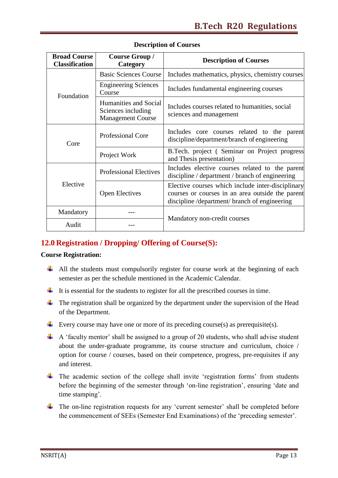| <b>Broad Course</b><br><b>Classification</b> | <b>Course Group /</b><br>Category                                       | <b>Description of Courses</b>                                                                                                                           |
|----------------------------------------------|-------------------------------------------------------------------------|---------------------------------------------------------------------------------------------------------------------------------------------------------|
|                                              | <b>Basic Sciences Course</b>                                            | Includes mathematics, physics, chemistry courses                                                                                                        |
| Foundation                                   | <b>Engineering Sciences</b><br>Course                                   | Includes fundamental engineering courses                                                                                                                |
|                                              | Humanities and Social<br>Sciences including<br><b>Management Course</b> | Includes courses related to humanities, social<br>sciences and management                                                                               |
| Core                                         | <b>Professional Core</b>                                                | Includes core courses related to the parent<br>discipline/department/branch of engineering                                                              |
|                                              | Project Work                                                            | B.Tech. project (Seminar on Project progress<br>and Thesis presentation)                                                                                |
|                                              | <b>Professional Electives</b>                                           | Includes elective courses related to the parent<br>discipline / department / branch of engineering                                                      |
| Elective                                     | <b>Open Electives</b>                                                   | Elective courses which include inter-disciplinary<br>courses or courses in an area outside the parent<br>discipline / department/ branch of engineering |
| Mandatory                                    |                                                                         |                                                                                                                                                         |
| Audit                                        |                                                                         | Mandatory non-credit courses                                                                                                                            |

#### **Description of Courses**

#### **12.0 Registration / Dropping/ Offering of Course(S):**

#### **Course Registration:**

- $\overline{\phantom{a}^+}$  All the students must compulsorily register for course work at the beginning of each semester as per the schedule mentioned in the Academic Calendar.
- $\ddot{\text{I}}$  It is essential for the students to register for all the prescribed courses in time.
- $\downarrow$  The registration shall be organized by the department under the supervision of the Head of the Department.
- Every course may have one or more of its preceding course(s) as prerequisite(s).
- $\overline{+}$  A 'faculty mentor' shall be assigned to a group of 20 students, who shall advise student about the under-graduate programme, its course structure and curriculum, choice / option for course / courses, based on their competence, progress, pre-requisites if any and interest.
- $\ddot{\text{I}}$  The academic section of the college shall invite 'registration forms' from students before the beginning of the semester through "on-line registration", ensuring "date and time stamping'.
- $\overline{\text{F}}$  The on-line registration requests for any 'current semester' shall be completed before the commencement of SEEs (Semester End Examinations) of the "preceding semester".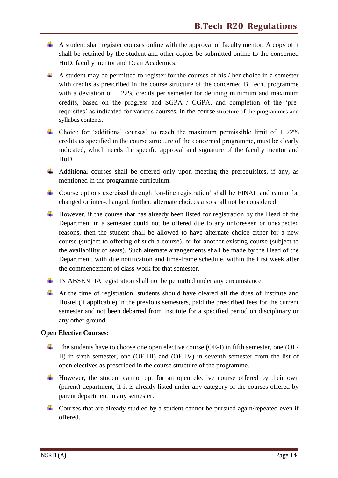- $\overline{\phantom{a}}$  A student shall register courses online with the approval of faculty mentor. A copy of it shall be retained by the student and other copies be submitted online to the concerned HoD, faculty mentor and Dean Academics.
- $\uparrow$  A student may be permitted to register for the courses of his / her choice in a semester with credits as prescribed in the course structure of the concerned B.Tech. programme with a deviation of  $\pm$  22% credits per semester for defining minimum and maximum credits, based on the progress and SGPA / CGPA, and completion of the "prerequisites' as indicated for various courses, in the course structure of the programmes and syllabus contents.
- $\overline{\phantom{a}}$  Choice for 'additional courses' to reach the maximum permissible limit of + 22% credits as specified in the course structure of the concerned programme, must be clearly indicated, which needs the specific approval and signature of the faculty mentor and HoD.
- $\overline{\mathbf{A}}$  Additional courses shall be offered only upon meeting the prerequisites, if any, as mentioned in the programme curriculum.
- Course options exercised through 'on-line registration' shall be FINAL and cannot be changed or inter-changed; further, alternate choices also shall not be considered.
- $\overline{\text{H}}$  However, if the course that has already been listed for registration by the Head of the Department in a semester could not be offered due to any unforeseen or unexpected reasons, then the student shall be allowed to have alternate choice either for a new course (subject to offering of such a course), or for another existing course (subject to the availability of seats). Such alternate arrangements shall be made by the Head of the Department, with due notification and time-frame schedule, within the first week after the commencement of class-work for that semester.
- $\downarrow$  IN ABSENTIA registration shall not be permitted under any circumstance.
- $\overline{\phantom{a}}$  At the time of registration, students should have cleared all the dues of Institute and Hostel (if applicable) in the previous semesters, paid the prescribed fees for the current semester and not been debarred from Institute for a specified period on disciplinary or any other ground.

#### **Open Elective Courses:**

- $\overline{\text{+}}$  The students have to choose one open elective course (OE-I) in fifth semester, one (OE-II) in sixth semester, one (OE-III) and (OE-IV) in seventh semester from the list of open electives as prescribed in the course structure of the programme.
- $\overline{\phantom{a}}$  However, the student cannot opt for an open elective course offered by their own (parent) department, if it is already listed under any category of the courses offered by parent department in any semester.
- Courses that are already studied by a student cannot be pursued again/repeated even if offered.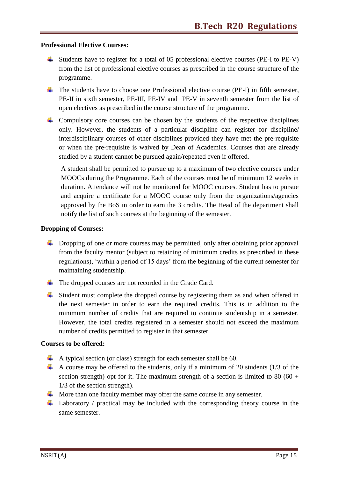#### **Professional Elective Courses:**

- $\overline{\phantom{a}}$  Students have to register for a total of 05 professional elective courses (PE-I to PE-V) from the list of professional elective courses as prescribed in the course structure of the programme.
- $\overline{\text{I}}$  The students have to choose one Professional elective course (PE-I) in fifth semester, PE-II in sixth semester, PE-III, PE-IV and PE-V in seventh semester from the list of open electives as prescribed in the course structure of the programme.
- $\overline{\phantom{a}}$  Compulsory core courses can be chosen by the students of the respective disciplines only. However, the students of a particular discipline can register for discipline/ interdisciplinary courses of other disciplines provided they have met the pre-requisite or when the pre-requisite is waived by Dean of Academics. Courses that are already studied by a student cannot be pursued again/repeated even if offered.

A student shall be permitted to pursue up to a maximum of two elective courses under MOOCs during the Programme. Each of the courses must be of minimum 12 weeks in duration. Attendance will not be monitored for MOOC courses. Student has to pursue and acquire a certificate for a MOOC course only from the organizations/agencies approved by the BoS in order to earn the 3 credits. The Head of the department shall notify the list of such courses at the beginning of the semester.

#### **Dropping of Courses:**

- $\downarrow$  Dropping of one or more courses may be permitted, only after obtaining prior approval from the faculty mentor (subject to retaining of minimum credits as prescribed in these regulations), "within a period of 15 days" from the beginning of the current semester for maintaining studentship.
- The dropped courses are not recorded in the Grade Card.
- $\overline{\mathbf{A}}$  Student must complete the dropped course by registering them as and when offered in the next semester in order to earn the required credits. This is in addition to the minimum number of credits that are required to continue studentship in a semester. However, the total credits registered in a semester should not exceed the maximum number of credits permitted to register in that semester.

#### **Courses to be offered:**

- $\uparrow$  A typical section (or class) strength for each semester shall be 60.
- A course may be offered to the students, only if a minimum of 20 students ( $1/3$  of the section strength) opt for it. The maximum strength of a section is limited to 80 (60 + 1/3 of the section strength).
- $\overline{\text{4}}$  More than one faculty member may offer the same course in any semester.
- $\downarrow$  Laboratory / practical may be included with the corresponding theory course in the same semester.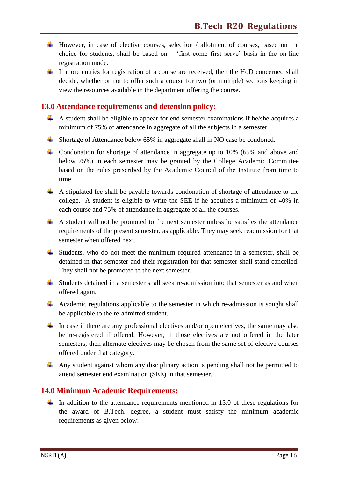- However, in case of elective courses, selection / allotment of courses, based on the choice for students, shall be based on  $-$  'first come first serve' basis in the on-line registration mode.
- $\pm$  If more entries for registration of a course are received, then the HoD concerned shall decide, whether or not to offer such a course for two (or multiple) sections keeping in view the resources available in the department offering the course.

#### **13.0 Attendance requirements and detention policy:**

- $\overline{+}$  A student shall be eligible to appear for end semester examinations if he/she acquires a minimum of 75% of attendance in aggregate of all the subjects in a semester.
- Shortage of Attendance below 65% in aggregate shall in NO case be condoned.
- $\overline{\phantom{a}}$  Condonation for shortage of attendance in aggregate up to 10% (65% and above and below 75%) in each semester may be granted by the College Academic Committee based on the rules prescribed by the Academic Council of the Institute from time to time.
- $\overline{\phantom{a}}$  A stipulated fee shall be payable towards condonation of shortage of attendance to the college. A student is eligible to write the SEE if he acquires a minimum of 40% in each course and 75% of attendance in aggregate of all the courses.
- $\overline{\phantom{a}}$  A student will not be promoted to the next semester unless he satisfies the attendance requirements of the present semester, as applicable. They may seek readmission for that semester when offered next.
- $\overline{\phantom{a}}$  Students, who do not meet the minimum required attendance in a semester, shall be detained in that semester and their registration for that semester shall stand cancelled. They shall not be promoted to the next semester.
- $\overline{\phantom{a}}$  Students detained in a semester shall seek re-admission into that semester as and when offered again.
- $\downarrow$  Academic regulations applicable to the semester in which re-admission is sought shall be applicable to the re-admitted student.
- In case if there are any professional electives and/or open electives, the same may also be re-registered if offered. However, if those electives are not offered in the later semesters, then alternate electives may be chosen from the same set of elective courses offered under that category.
- Any student against whom any disciplinary action is pending shall not be permitted to attend semester end examination (SEE) in that semester.

#### **14.0 Minimum Academic Requirements:**

In addition to the attendance requirements mentioned in 13.0 of these regulations for the award of B.Tech. degree, a student must satisfy the minimum academic requirements as given below: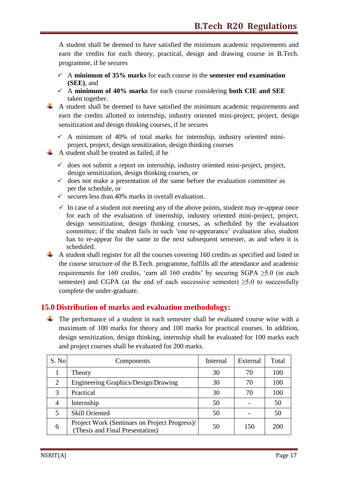A student shall be deemed to have satisfied the minimum academic requirements and earn the credits for each theory, practical, design and drawing course in B.Tech. programme, if he secures

- $\checkmark$  A minimum of 35% marks for each course in the **semester** end examination **(SEE)**, and
- $\checkmark$  A minimum of 40% marks for each course considering **both CIE and SEE** taken together.
- $\overline{+}$  A student shall be deemed to have satisfied the minimum academic requirements and earn the credits allotted to internship, industry oriented mini-project, project, design sensitization and design thinking courses, if he secures
	- $\checkmark$  A minimum of 40% of total marks for internship, industry oriented miniproject, project, design sensitization, design thinking courses
- $\overline{A}$  A student shall be treated as failed, if he
	- $\checkmark$  does not submit a report on internship, industry oriented mini-project, project, design sensitization, design thinking courses, or
	- $\checkmark$  does not make a presentation of the same before the evaluation committee as per the schedule, or
	- $\checkmark$  secures less than 40% marks in overall evaluation.
	- $\checkmark$  In case of a student not meeting any of the above points, student may re-appear once for each of the evaluation of internship, industry oriented mini-project, project, design sensitization, design thinking courses, as scheduled by the evaluation committee; if the student fails in such "one re-appearance" evaluation also, student has to re-appear for the same in the next subsequent semester, as and when it is scheduled.
- $\overline{\phantom{a}}$  A student shall register for all the courses covering 160 credits as specified and listed in the course structure of the B.Tech. programme, fulfills all the attendance and academic requirements for 160 credits, 'earn all 160 credits' by securing SGPA  $\geq$ 5.0 (in each semester) and CGPA (at the end of each successive semester)  $\geq 5.0$  to successfully complete the under-graduate.

#### **15.0 Distribution of marks and evaluation methodology:**

 $\overline{\phantom{a}}$  The performance of a student in each semester shall be evaluated course wise with a maximum of 100 marks for theory and 100 marks for practical courses. In addition, design sensitization, design thinking, internship shall be evaluated for 100 marks each and project courses shall be evaluated for 200 marks.

| S. No | Components                                                                      | Internal | External | Total |
|-------|---------------------------------------------------------------------------------|----------|----------|-------|
|       | Theory                                                                          | 30       | 70       | 100   |
| 2     | Engineering Graphics/Design/Drawing                                             | 30       | 70       | 100   |
| 3     | Practical                                                                       | 30       | 70       | 100   |
| 4     | Internship                                                                      | 50       |          | 50    |
|       | <b>Skill Oriented</b>                                                           | 50       |          | 50    |
| 6     | Project Work (Seminars on Project Progress)/<br>(Thesis and Final Presentation) | 50       | 150      | 200   |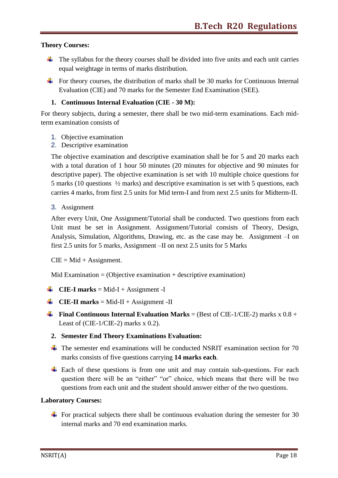#### **Theory Courses:**

- $\downarrow$  The syllabus for the theory courses shall be divided into five units and each unit carries equal weightage in terms of marks distribution.
- $\overline{\text{F}}$  For theory courses, the distribution of marks shall be 30 marks for Continuous Internal Evaluation (CIE) and 70 marks for the Semester End Examination (SEE).

#### **1. Continuous Internal Evaluation (CIE - 30 M):**

For theory subjects, during a semester, there shall be two mid-term examinations. Each midterm examination consists of

- 1. Objective examination
- 2. Descriptive examination

The objective examination and descriptive examination shall be for 5 and 20 marks each with a total duration of 1 hour 50 minutes (20 minutes for objective and 90 minutes for descriptive paper). The objective examination is set with 10 multiple choice questions for 5 marks (10 questions ½ marks) and descriptive examination is set with 5 questions, each carries 4 marks, from first 2.5 units for Mid term-I and from next 2.5 units for Midterm-II.

3. Assignment

After every Unit, One Assignment/Tutorial shall be conducted. Two questions from each Unit must be set in Assignment. Assignment/Tutorial consists of Theory, Design, Analysis, Simulation, Algorithms, Drawing, etc. as the case may be. Assignment –I on first 2.5 units for 5 marks, Assignment –II on next 2.5 units for 5 Marks

 $CIE = Mid + Assignment.$ 

Mid Examination  $=$  (Objective examination  $+$  descriptive examination)

- **CIE-I marks** = Mid-I + Assignment -I
- **CIE-II** marks = Mid-II + Assignment -II
- **Final Continuous Internal Evaluation Marks** = (Best of CIE-1/CIE-2) marks  $x = 0.8 + 1$ Least of (CIE-1/CIE-2) marks x 0.2).
	- **2. Semester End Theory Examinations Evaluation:**
	- $\ddot{\bullet}$  The semester end examinations will be conducted NSRIT examination section for 70 marks consists of five questions carrying **14 marks each**.
	- $\pm$  Each of these questions is from one unit and may contain sub-questions. For each question there will be an "either" "or" choice, which means that there will be two questions from each unit and the student should answer either of the two questions.

#### **Laboratory Courses:**

 $\ddot{\text{F}}$  For practical subjects there shall be continuous evaluation during the semester for 30 internal marks and 70 end examination marks.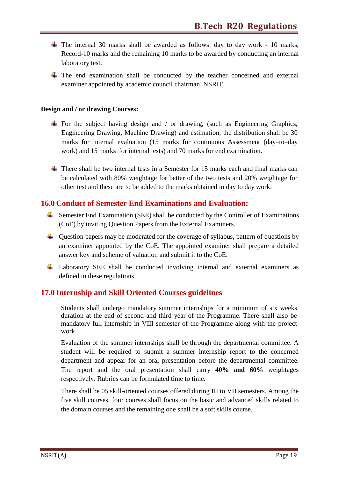- $\ddot{\bullet}$  The internal 30 marks shall be awarded as follows: day to day work 10 marks, Record-10 marks and the remaining 10 marks to be awarded by conducting an internal laboratory test.
- $\downarrow$  The end examination shall be conducted by the teacher concerned and external examiner appointed by academic council chairman, NSRIT

#### **Design and / or drawing Courses:**

- For the subject having design and / or drawing, (such as Engineering Graphics, Engineering Drawing, Machine Drawing) and estimation, the distribution shall be 30 marks for internal evaluation (15 marks for continuous Assessment (day–to–day work) and 15 marks for internal tests) and 70 marks for end examination.
- $\ddot{\bullet}$  There shall be two internal tests in a Semester for 15 marks each and final marks can be calculated with 80% weightage for better of the two tests and 20% weightage for other test and these are to be added to the marks obtained in day to day work.

#### **16.0 Conduct of Semester End Examinations and Evaluation:**

- $\overline{\text{L}}$  Semester End Examination (SEE) shall be conducted by the Controller of Examinations (CoE) by inviting Question Papers from the External Examiners.
- $\downarrow$  Question papers may be moderated for the coverage of syllabus, pattern of questions by an examiner appointed by the CoE. The appointed examiner shall prepare a detailed answer key and scheme of valuation and submit it to the CoE.
- Laboratory SEE shall be conducted involving internal and external examiners as defined in these regulations.

#### **17.0 Internship and Skill Oriented Courses guidelines**

Students shall undergo mandatory summer internships for a minimum of six weeks duration at the end of second and third year of the Programme. There shall also be mandatory full internship in VIII semester of the Programme along with the project work

Evaluation of the summer internships shall be through the departmental committee. A student will be required to submit a summer internship report to the concerned department and appear for an oral presentation before the departmental committee. The report and the oral presentation shall carry **40% and 60%** weightages respectively. Rubrics can be formulated time to time.

There shall be 05 skill-oriented courses offered during III to VII semesters. Among the five skill courses, four courses shall focus on the basic and advanced skills related to the domain courses and the remaining one shall be a soft skills course.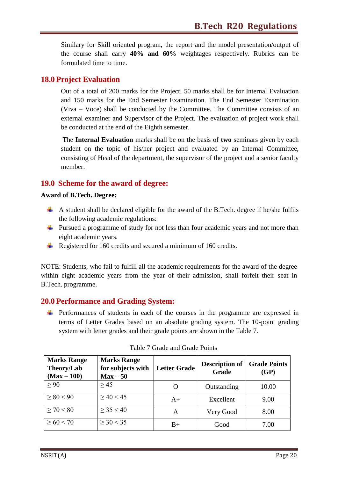Similary for Skill oriented program, the report and the model presentation/output of the course shall carry **40% and 60%** weightages respectively. Rubrics can be formulated time to time.

#### **18.0 Project Evaluation**

Out of a total of 200 marks for the Project, 50 marks shall be for Internal Evaluation and 150 marks for the End Semester Examination. The End Semester Examination (Viva – Voce) shall be conducted by the Committee. The Committee consists of an external examiner and Supervisor of the Project. The evaluation of project work shall be conducted at the end of the Eighth semester.

The **Internal Evaluation** marks shall be on the basis of **two** seminars given by each student on the topic of his/her project and evaluated by an Internal Committee, consisting of Head of the department, the supervisor of the project and a senior faculty member.

#### **19.0 Scheme for the award of degree:**

#### **Award of B.Tech. Degree:**

- $\overline{\phantom{a}}$  A student shall be declared eligible for the award of the B.Tech. degree if he/she fulfils the following academic regulations:
- Pursued a programme of study for not less than four academic years and not more than eight academic years.
- Registered for 160 credits and secured a minimum of 160 credits.

NOTE: Students, who fail to fulfill all the academic requirements for the award of the degree within eight academic years from the year of their admission, shall forfeit their seat in B.Tech. programme.

#### **20.0 Performance and Grading System:**

 $\overline{\phantom{a}}$  Performances of students in each of the courses in the programme are expressed in terms of Letter Grades based on an absolute grading system. The 10-point grading system with letter grades and their grade points are shown in the Table 7.

| <b>Marks Range</b><br>Theory/Lab<br>$(Max-100)$ | <b>Marks Range</b><br>for subjects with<br>$Max-50$ | <b>Letter Grade</b> | <b>Description of</b><br>Grade | <b>Grade Points</b><br>(GP) |
|-------------------------------------------------|-----------------------------------------------------|---------------------|--------------------------------|-----------------------------|
| > 90                                            | > 45                                                | $\mathbf{\Omega}$   | Outstanding                    | 10.00                       |
| > 80 < 90                                       | > 40 < 45                                           | $A+$                | Excellent                      | 9.00                        |
| > 70 < 80                                       | $>$ 35 < 40                                         | A                   | Very Good                      | 8.00                        |
| > 60 < 70                                       | $\geq$ 30 < 35                                      | $B+$                | Good                           | 7.00                        |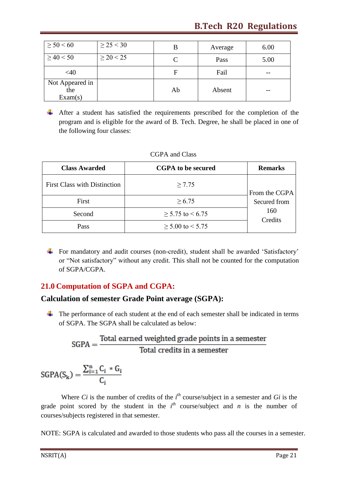| $\geq 50 \leq 60$                 | $\geq$ 25 < 30 |    | Average | 6.00 |
|-----------------------------------|----------------|----|---------|------|
| $\geq$ 40 < 50                    | $\geq$ 20 < 25 | C  | Pass    | 5.00 |
| <40                               |                | F  | Fail    | --   |
| Not Appeared in<br>the<br>Exam(s) |                | Ab | Absent  | --   |

After a student has satisfied the requirements prescribed for the completion of the program and is eligible for the award of B. Tech. Degree, he shall be placed in one of the following four classes:

| <b>Class Awarded</b>                | <b>CGPA</b> to be secured  | <b>Remarks</b> |
|-------------------------------------|----------------------------|----------------|
| <b>First Class with Distinction</b> | $\geq 7.75$                | From the CGPA  |
| First                               | $\geq 6.75$                | Secured from   |
| Second                              | $\geq$ 5.75 to < 6.75      | 160<br>Credits |
| Pass                                | $\geq 5.00$ to $\leq 5.75$ |                |

#### CGPA and Class

 $\overline{\text{F}}$  For mandatory and audit courses (non-credit), student shall be awarded 'Satisfactory' or "Not satisfactory" without any credit. This shall not be counted for the computation of SGPA/CGPA.

#### **21.0 Computation of SGPA and CGPA:**

#### **Calculation of semester Grade Point average (SGPA):**

 $\overline{\text{F}}$  The performance of each student at the end of each semester shall be indicated in terms of SGPA. The SGPA shall be calculated as below:

$$
SGPA = \frac{Total\ earned\ weighted\ grade\ points\ in\ a\ semester}{Total\ credits\ in\ a\ semester}
$$

$$
SGPA(S_k) = \frac{\sum_{i=1}^{n} C_i * G_i}{C_i}
$$

Where *Ci* is the number of credits of the  $i^{th}$  course/subject in a semester and *Gi* is the grade point scored by the student in the  $i^{th}$  course/subject and *n* is the number of courses/subjects registered in that semester.

NOTE: SGPA is calculated and awarded to those students who pass all the courses in a semester.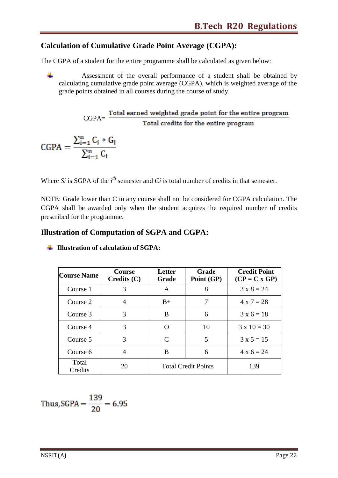#### **Calculation of Cumulative Grade Point Average (CGPA):**

The CGPA of a student for the entire programme shall be calculated as given below:

÷ Assessment of the overall performance of a student shall be obtained by calculating cumulative grade point average (CGPA), which is weighted average of the grade points obtained in all courses during the course of study.

 $CGPA = \frac{Total\ earned\ weighted\ grade\ point\ for\ the\ entire\ program}{Total\ credits\ for\ the\ entire\ program}$ 

 $CGPA = \frac{\sum_{i=1}^{n} C_i * G_i}{\sum_{i=1}^{n} C_i}$ 

Where *Si* is SGPA of the  $i<sup>th</sup>$  semester and *Ci* is total number of credits in that semester.

NOTE: Grade lower than C in any course shall not be considered for CGPA calculation. The CGPA shall be awarded only when the student acquires the required number of credits prescribed for the programme.

#### **Illustration of Computation of SGPA and CGPA:**

| <b>Course Name</b> | <b>Course</b><br>$C$ redits $(C)$ | Letter<br>Grade            | Grade<br>Point (GP) | <b>Credit Point</b><br>$(CP = C x GP)$ |
|--------------------|-----------------------------------|----------------------------|---------------------|----------------------------------------|
| Course 1           | 3                                 | A                          | 8                   | $3 \times 8 = 24$                      |
| Course 2           | 4                                 | $B+$                       | 7                   | $4 \times 7 = 28$                      |
| Course 3           | 3                                 | B                          | 6                   | $3 \times 6 = 18$                      |
| Course 4           | 3                                 | ∩                          | 10                  | $3 \times 10 = 30$                     |
| Course 5           | 3                                 | C                          | 5                   | $3 \times 5 = 15$                      |
| Course 6           | 4                                 | B                          | 6                   | $4 \times 6 = 24$                      |
| Total<br>Credits   | 20                                | <b>Total Credit Points</b> |                     | 139                                    |

**Illustration of calculation of SGPA:**

Thus, SGPA = 
$$
\frac{139}{20}
$$
 = 6.95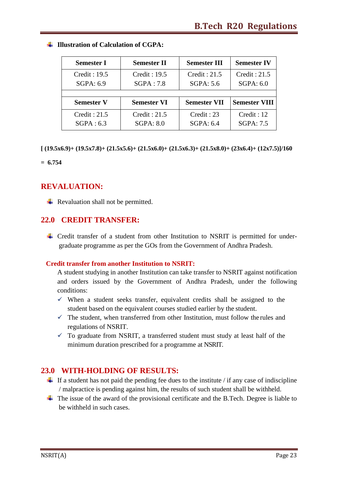| <b>Semester I</b> | <b>Semester II</b> | <b>Semester III</b> | <b>Semester IV</b>   |
|-------------------|--------------------|---------------------|----------------------|
| Credit: 19.5      | Credit: 19.5       | Credit: 21.5        | Credit: 21.5         |
| SGPA: 6.9         | SGPA:7.8           | SGPA: 5.6           | SGPA: 6.0            |
| <b>Semester V</b> | <b>Semester VI</b> | <b>Semester VII</b> | <b>Semester VIII</b> |
| Credit: 21.5      | Credit : 21.5      | Credit : 23         | Credit: 12           |
| SGPA: 6.3         | SGPA: 8.0          | SGPA: 6.4           | <b>SGPA: 7.5</b>     |

#### **Illustration of Calculation of CGPA:**

**[ (19.5x6.9)+ (19.5x7.8)+ (21.5x5.6)+ (21.5x6.0)+ (21.5x6.3)+ (21.5x8.0)+ (23x6.4)+ (12x7.5)]/160**

**= 6.754**

#### **REVALUATION:**

 $\overline{\phantom{a}}$  Revaluation shall not be permitted.

#### **22.0 CREDIT TRANSFER:**

Credit transfer of a student from other Institution to NSRIT is permitted for undergraduate programme as per the GOs from the Government of Andhra Pradesh.

#### **Credit transfer from another Institution to NSRIT:**

A student studying in another Institution can take transfer to NSRIT against notification and orders issued by the Government of Andhra Pradesh, under the following conditions:

- $\checkmark$  When a student seeks transfer, equivalent credits shall be assigned to the student based on the equivalent courses studied earlier by the student.
- $\checkmark$  The student, when transferred from other Institution, must follow the rules and regulations of NSRIT.
- $\checkmark$  To graduate from NSRIT, a transferred student must study at least half of the minimum duration prescribed for a programme at NSRIT.

#### **23.0 WITH-HOLDING OF RESULTS:**

- $\overline{\phantom{a}}$  If a student has not paid the pending fee dues to the institute / if any case of indiscipline / malpractice is pending against him, the results of such student shall be withheld.
- $\overline{\text{I}}$  The issue of the award of the provisional certificate and the B.Tech. Degree is liable to be withheld in such cases.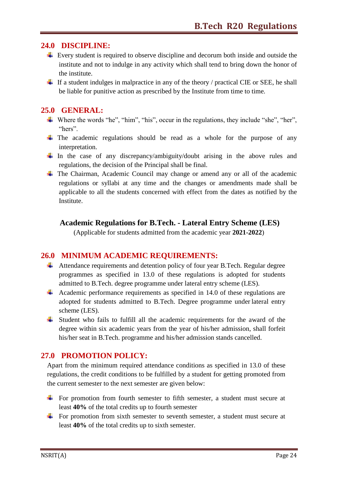#### **24.0 DISCIPLINE:**

- $\overline{\text{F}}$  Every student is required to observe discipline and decorum both inside and outside the institute and not to indulge in any activity which shall tend to bring down the honor of the institute.
- $\pm$  If a student indulges in malpractice in any of the theory / practical CIE or SEE, he shall be liable for punitive action as prescribed by the Institute from time to time.

#### **25.0 GENERAL:**

- $\ddot{\bullet}$  Where the words "he", "him", "his", occur in the regulations, they include "she", "her", "hers".
- $\overline{\text{F}}$  The academic regulations should be read as a whole for the purpose of any interpretation.
- $\downarrow$  In the case of any discrepancy/ambiguity/doubt arising in the above rules and regulations, the decision of the Principal shall be final.
- $\overline{\text{F}}$  The Chairman, Academic Council may change or amend any or all of the academic regulations or syllabi at any time and the changes or amendments made shall be applicable to all the students concerned with effect from the dates as notified by the Institute.

#### **Academic Regulations for B.Tech. - Lateral Entry Scheme (LES)**

(Applicable for students admitted from the academic year **2021-2022**)

#### **26.0 MINIMUM ACADEMIC REQUIREMENTS:**

- $\overline{\phantom{a} \bullet}$  Attendance requirements and detention policy of four year B. Tech. Regular degree programmes as specified in 13.0 of these regulations is adopted for students admitted to B.Tech. degree programme under lateral entry scheme (LES).
- Academic performance requirements as specified in 14.0 of these regulations are adopted for students admitted to B.Tech. Degree programme under lateral entry scheme (LES).
- $\overline{\phantom{a}}$  Student who fails to fulfill all the academic requirements for the award of the degree within six academic years from the year of his/her admission, shall forfeit his/her seat in B.Tech. programme and his/her admission stands cancelled.

#### **27.0 PROMOTION POLICY:**

Apart from the minimum required attendance conditions as specified in 13.0 of these regulations, the credit conditions to be fulfilled by a student for getting promoted from the current semester to the next semester are given below:

- $\overline{\text{F}}$  For promotion from fourth semester to fifth semester, a student must secure at least **40%** of the total credits up to fourth semester
- For promotion from sixth semester to seventh semester, a student must secure at least **40%** of the total credits up to sixth semester.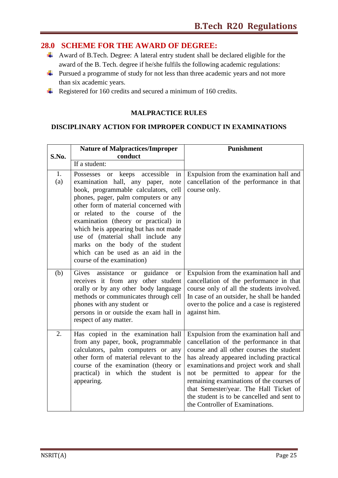#### **28.0 SCHEME FOR THE AWARD OF DEGREE:**

- Award of B.Tech. Degree: A lateral entry student shall be declared eligible for the award of the B. Tech. degree if he/she fulfils the following academic regulations:
- Pursued a programme of study for not less than three academic years and not more than six academic years.
- Registered for 160 credits and secured a minimum of 160 credits.

#### **MALPRACTICE RULES**

#### **DISCIPLINARY ACTION FOR IMPROPER CONDUCT IN EXAMINATIONS**

|           | <b>Nature of Malpractices/Improper</b>                                                                                                                                                                                                                                                                                                                                                                                                                               | <b>Punishment</b>                                                                                                                                                                                                                                                                                                                                                                                                                  |
|-----------|----------------------------------------------------------------------------------------------------------------------------------------------------------------------------------------------------------------------------------------------------------------------------------------------------------------------------------------------------------------------------------------------------------------------------------------------------------------------|------------------------------------------------------------------------------------------------------------------------------------------------------------------------------------------------------------------------------------------------------------------------------------------------------------------------------------------------------------------------------------------------------------------------------------|
| S.No.     | conduct                                                                                                                                                                                                                                                                                                                                                                                                                                                              |                                                                                                                                                                                                                                                                                                                                                                                                                                    |
|           | If a student:                                                                                                                                                                                                                                                                                                                                                                                                                                                        |                                                                                                                                                                                                                                                                                                                                                                                                                                    |
| 1.<br>(a) | Possesses or keeps accessible<br>in<br>examination hall, any paper, note<br>book, programmable calculators, cell<br>phones, pager, palm computers or any<br>other form of material concerned with<br>or related to the course of the<br>examination (theory or practical) in<br>which he is appearing but has not made<br>use of (material shall include any<br>marks on the body of the student<br>which can be used as an aid in the<br>course of the examination) | Expulsion from the examination hall and<br>cancellation of the performance in that<br>course only.                                                                                                                                                                                                                                                                                                                                 |
| (b)       | assistance<br>or guidance<br>Gives<br><b>or</b><br>receives it from any other student<br>orally or by any other body language<br>methods or communicates through cell<br>phones with any student or<br>persons in or outside the exam hall in<br>respect of any matter.                                                                                                                                                                                              | Expulsion from the examination hall and<br>cancellation of the performance in that<br>course only of all the students involved.<br>In case of an outsider, he shall be handed<br>over to the police and a case is registered<br>against him.                                                                                                                                                                                       |
| 2.        | Has copied in the examination hall<br>from any paper, book, programmable<br>calculators, palm computers or any<br>other form of material relevant to the<br>course of the examination (theory or<br>practical) in which the student is<br>appearing.                                                                                                                                                                                                                 | Expulsion from the examination hall and<br>cancellation of the performance in that<br>course and all other courses the student<br>has already appeared including practical<br>examinations and project work and shall<br>not be permitted to appear for the<br>remaining examinations of the courses of<br>that Semester/year. The Hall Ticket of<br>the student is to be cancelled and sent to<br>the Controller of Examinations. |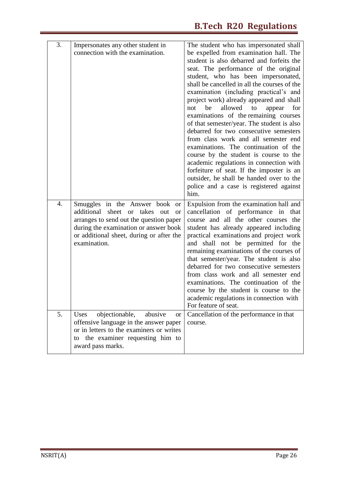| 3. | Impersonates any other student in                                                                                                                                                                                               | The student who has impersonated shall                                                                                                                                                                                                                                                                                                                                                                                                                                                                                                                                                                                                                                                                                                                                                                      |
|----|---------------------------------------------------------------------------------------------------------------------------------------------------------------------------------------------------------------------------------|-------------------------------------------------------------------------------------------------------------------------------------------------------------------------------------------------------------------------------------------------------------------------------------------------------------------------------------------------------------------------------------------------------------------------------------------------------------------------------------------------------------------------------------------------------------------------------------------------------------------------------------------------------------------------------------------------------------------------------------------------------------------------------------------------------------|
|    | connection with the examination.                                                                                                                                                                                                | be expelled from examination hall. The<br>student is also debarred and forfeits the<br>seat. The performance of the original<br>student, who has been impersonated,<br>shall be cancelled in all the courses of the<br>examination (including practical's and<br>project work) already appeared and shall<br>allowed<br>to<br>for<br>not<br>be<br>appear<br>examinations of the remaining courses<br>of that semester/year. The student is also<br>debarred for two consecutive semesters<br>from class work and all semester end<br>examinations. The continuation of the<br>course by the student is course to the<br>academic regulations in connection with<br>forfeiture of seat. If the imposter is an<br>outsider, he shall be handed over to the<br>police and a case is registered against<br>him. |
| 4. | Smuggles in the Answer book or<br>additional sheet or takes<br>out<br><b>or</b><br>arranges to send out the question paper<br>during the examination or answer book<br>or additional sheet, during or after the<br>examination. | Expulsion from the examination hall and<br>cancellation of performance in that<br>course and all the other courses the<br>student has already appeared including<br>practical examinations and project work<br>and shall not be permitted for the<br>remaining examinations of the courses of<br>that semester/year. The student is also<br>debarred for two consecutive semesters<br>from class work and all semester end<br>examinations. The continuation of the<br>course by the student is course to the<br>academic regulations in connection with<br>For feature of seat.                                                                                                                                                                                                                            |
| 5. | objectionable,<br>abusive<br>Uses<br><b>or</b><br>offensive language in the answer paper<br>or in letters to the examiners or writes<br>the examiner requesting him to<br>to<br>award pass marks.                               | Cancellation of the performance in that<br>course.                                                                                                                                                                                                                                                                                                                                                                                                                                                                                                                                                                                                                                                                                                                                                          |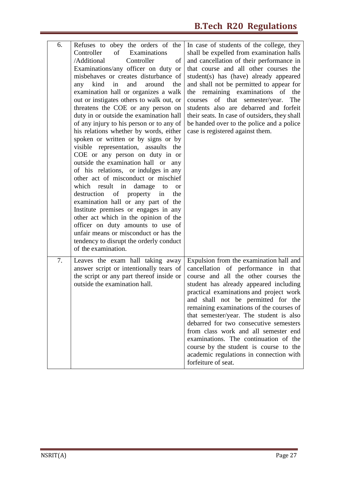| 6. | Refuses to obey the orders of the<br>Controller<br>of<br>Examinations<br>/Additional<br>Controller<br>of<br>Examinations/any officer on duty or<br>misbehaves or creates disturbance of<br>kind<br>and<br>around<br>the<br>in<br>any<br>examination hall or organizes a walk<br>out or instigates others to walk out, or<br>threatens the COE or any person on<br>duty in or outside the examination hall<br>of any injury to his person or to any of<br>his relations whether by words, either<br>spoken or written or by signs or by<br>visible representation, assaults the<br>COE or any person on duty in or<br>outside the examination hall or any<br>of his relations, or indulges in any<br>other act of misconduct or mischief<br>which result in damage<br>to<br><b>or</b><br>destruction<br>of property in<br>the<br>examination hall or any part of the<br>Institute premises or engages in any<br>other act which in the opinion of the<br>officer on duty amounts to use of<br>unfair means or misconduct or has the<br>tendency to disrupt the orderly conduct<br>of the examination. | In case of students of the college, they<br>shall be expelled from examination halls<br>and cancellation of their performance in<br>that course and all other courses the<br>student(s) has (have) already appeared<br>and shall not be permitted to appear for<br>the remaining examinations of the<br>of that semester/year.<br>courses<br>The<br>students also are debarred and forfeit<br>their seats. In case of outsiders, they shall<br>be handed over to the police and a police<br>case is registered against them.                                                       |
|----|------------------------------------------------------------------------------------------------------------------------------------------------------------------------------------------------------------------------------------------------------------------------------------------------------------------------------------------------------------------------------------------------------------------------------------------------------------------------------------------------------------------------------------------------------------------------------------------------------------------------------------------------------------------------------------------------------------------------------------------------------------------------------------------------------------------------------------------------------------------------------------------------------------------------------------------------------------------------------------------------------------------------------------------------------------------------------------------------------|------------------------------------------------------------------------------------------------------------------------------------------------------------------------------------------------------------------------------------------------------------------------------------------------------------------------------------------------------------------------------------------------------------------------------------------------------------------------------------------------------------------------------------------------------------------------------------|
| 7. | Leaves the exam hall taking away<br>answer script or intentionally tears of<br>the script or any part thereof inside or<br>outside the examination hall.                                                                                                                                                                                                                                                                                                                                                                                                                                                                                                                                                                                                                                                                                                                                                                                                                                                                                                                                             | Expulsion from the examination hall and<br>cancellation of performance in<br>that<br>course and all the other courses the<br>student has already appeared including<br>practical examinations and project work<br>and shall not be permitted for the<br>remaining examinations of the courses of<br>that semester/year. The student is also<br>debarred for two consecutive semesters<br>from class work and all semester end<br>examinations. The continuation of the<br>course by the student is course to the<br>academic regulations in connection with<br>forfeiture of seat. |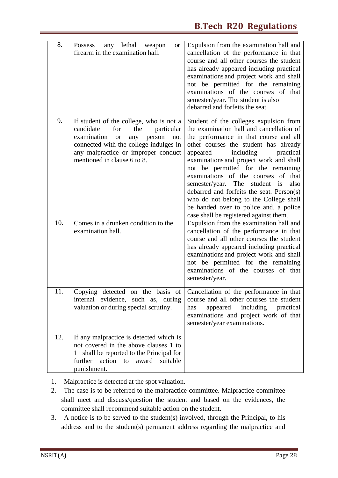| 8.  | lethal<br>Possess<br>any<br>weapon<br><b>or</b><br>firearm in the examination hall.                                                                                                                                                                  | Expulsion from the examination hall and<br>cancellation of the performance in that<br>course and all other courses the student<br>has already appeared including practical<br>examinations and project work and shall<br>not be permitted for the remaining<br>examinations of the courses of that<br>semester/year. The student is also<br>debarred and forfeits the seat.                                                                                                                                                                                      |
|-----|------------------------------------------------------------------------------------------------------------------------------------------------------------------------------------------------------------------------------------------------------|------------------------------------------------------------------------------------------------------------------------------------------------------------------------------------------------------------------------------------------------------------------------------------------------------------------------------------------------------------------------------------------------------------------------------------------------------------------------------------------------------------------------------------------------------------------|
| 9.  | If student of the college, who is not a<br>candidate<br>for<br>the<br>particular<br>examination<br>person<br>any<br>not<br><b>or</b><br>connected with the college indulges in<br>any malpractice or improper conduct<br>mentioned in clause 6 to 8. | Student of the colleges expulsion from<br>the examination hall and cancellation of<br>the performance in that course and all<br>other courses the student has already<br>including<br>appeared<br>practical<br>examinations and project work and shall<br>not be permitted for the remaining<br>examinations of the courses<br>of that<br>semester/year. The<br>student<br>also<br>is<br>debarred and forfeits the seat. Person(s)<br>who do not belong to the College shall<br>be handed over to police and, a police<br>case shall be registered against them. |
| 10. | Comes in a drunken condition to the<br>examination hall.                                                                                                                                                                                             | Expulsion from the examination hall and<br>cancellation of the performance in that<br>course and all other courses the student<br>has already appeared including practical<br>examinations and project work and shall<br>not be permitted for the remaining<br>examinations of the courses of that<br>semester/year.                                                                                                                                                                                                                                             |
| 11. | internal evidence, such as, during<br>valuation or during special scrutiny.                                                                                                                                                                          | Copying detected on the basis of Cancellation of the performance in that<br>course and all other courses the student<br>appeared including practical<br>has<br>examinations and project work of that<br>semester/year examinations.                                                                                                                                                                                                                                                                                                                              |
| 12. | If any malpractice is detected which is<br>not covered in the above clauses 1 to<br>11 shall be reported to the Principal for<br>further action to award suitable<br>punishment.                                                                     |                                                                                                                                                                                                                                                                                                                                                                                                                                                                                                                                                                  |

- 1. Malpractice is detected at the spot valuation.
- 2. The case is to be referred to the malpractice committee. Malpractice committee shall meet and discuss/question the student and based on the evidences, the committee shall recommend suitable action on the student.
- 3. A notice is to be served to the student(s) involved, through the Principal, to his address and to the student(s) permanent address regarding the malpractice and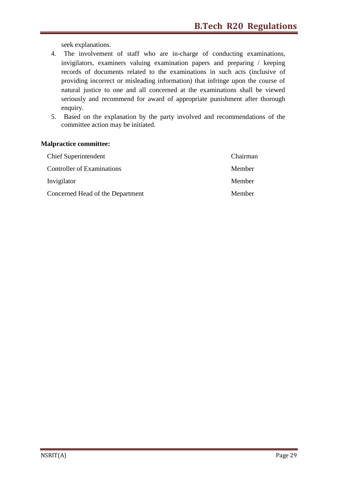seek explanations.

- 4. The involvement of staff who are in-charge of conducting examinations, invigilators, examiners valuing examination papers and preparing / keeping records of documents related to the examinations in such acts (inclusive of providing incorrect or misleading information) that infringe upon the course of natural justice to one and all concerned at the examinations shall be viewed seriously and recommend for award of appropriate punishment after thorough enquiry.
- 5. Based on the explanation by the party involved and recommendations of the committee action may be initiated.

#### **Malpractice committee:**

| <b>Chief Superintendent</b>       | Chairman |
|-----------------------------------|----------|
| <b>Controller of Examinations</b> | Member   |
| Invigilator                       | Member   |
| Concerned Head of the Department  | Member   |